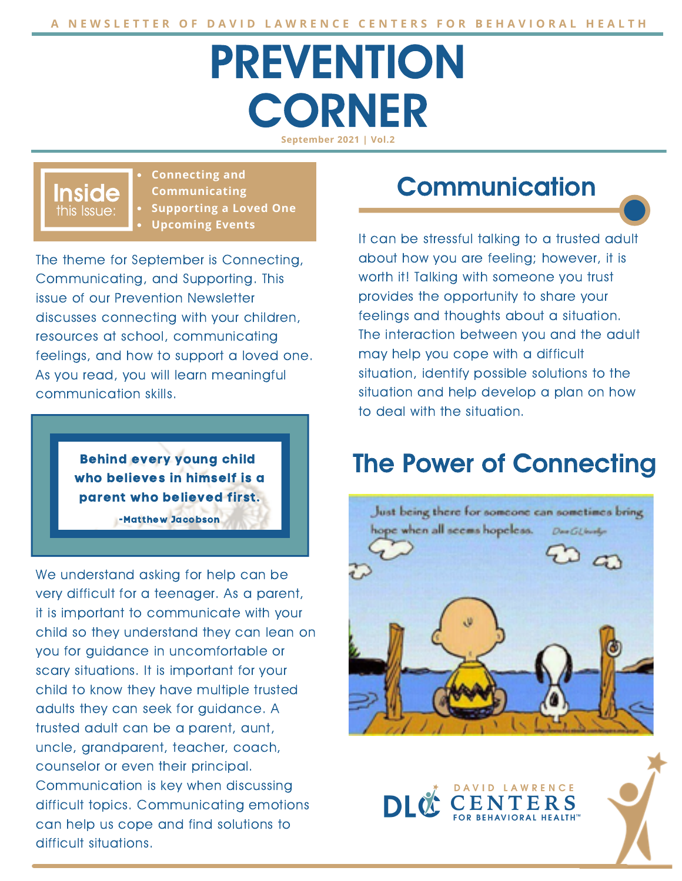# PREVENTION **CORNER September 2021 | Vol.2**

this Issue: Inside **Connecting and Communicating Supporting a Loved One Upcoming Events**

The theme for September is Connecting, Communicating, and Supporting. This issue of our Prevention Newsletter discusses connecting with your children, resources at school, communicating feelings, and how to support a loved one. As you read, you will learn meaningful communication skills.

> Behind every young child who believes in himself is a parent who believed first.

> > -Matthew Jacobson

We understand asking for help can be very difficult for a teenager. As a parent, it is important to communicate with your child so they understand they can lean on you for guidance in uncomfortable or scary situations. It is important for your child to know they have multiple trusted adults they can seek for guidance. A trusted adult can be a parent, aunt, uncle, grandparent, teacher, coach, counselor or even their principal. Communication is key when discussing difficult topics. Communicating emotions can help us cope and find solutions to difficult situations.

# **Communication**

It can be stressful talking to a trusted adult about how you are feeling; however, it is worth it! Talking with someone you trust provides the opportunity to share your feelings and thoughts about a situation. The interaction between you and the adult may help you cope with a difficult situation, identify possible solutions to the situation and help develop a plan on how to deal with the situation.

# The Power of Connecting